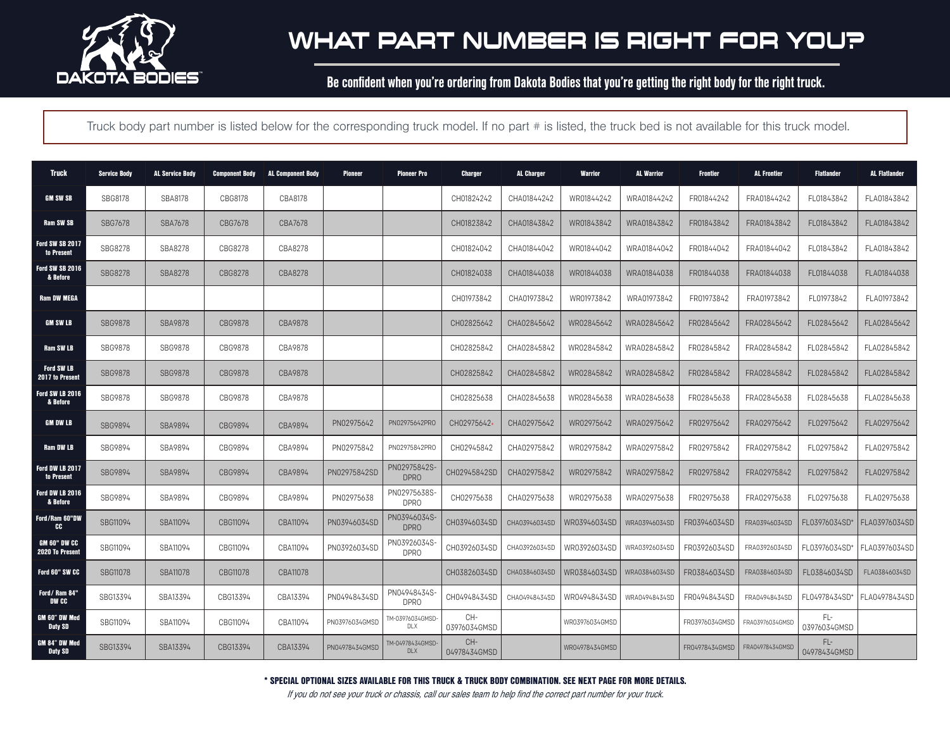

Be confident when you're ordering from Dakota Bodies that you're getting the right body for the right truck.

Truck body part number is listed below for the corresponding truck model. If no part # is listed, the truck bed is not available for this truck model.

| <b>Truck</b>                           | <b>Service Body</b> | <b>AL Service Body</b> | <b>Component Body</b> | <b>AL Component Body</b> | Pioneer        | <b>Pioneer Pro</b>               | <b>Charger</b>      | <b>AL Charger</b> | <b>Warrior</b> | <b>AL Warrior</b> | <b>Frontier</b> | <b>AL Frontier</b> | <b>Flatlander</b>   | <b>AL Flatlander</b> |
|----------------------------------------|---------------------|------------------------|-----------------------|--------------------------|----------------|----------------------------------|---------------------|-------------------|----------------|-------------------|-----------------|--------------------|---------------------|----------------------|
| <b>GM SW SB</b>                        | <b>SBG8178</b>      | <b>SBA8178</b>         | CBG8178               | CBA8178                  |                |                                  | CH01824242          | CHA01844242       | WR01844242     | WRA01844242       | FR01844242      | FRA01844242        | FL01843842          | FLA01843842          |
| <b>Ram SW SB</b>                       | <b>SBG7678</b>      | <b>SBA7678</b>         | CBG7678               | CBA7678                  |                |                                  | CH01823842          | CHA01843842       | WR01843842     | WRA01843842       | FR01843842      | FRA01843842        | FL01843842          | FLA01843842          |
| <b>Ford SW SB 2017</b><br>to Present   | SBG8278             | <b>SBA8278</b>         | CBG8278               | CBA8278                  |                |                                  | CH01824042          | CHA01844042       | WR01844042     | WRA01844042       | FR01844042      | FRA01844042        | FL01843842          | FLA01843842          |
| Ford SW SB 2016<br>& Before            | <b>SBG8278</b>      | <b>SBA8278</b>         | CBG8278               | CBA8278                  |                |                                  | CH01824038          | CHA01844038       | WR01844038     | WRA01844038       | FR01844038      | FRA01844038        | FL01844038          | FLA01844038          |
| <b>Ram DW MEGA</b>                     |                     |                        |                       |                          |                |                                  | CH01973842          | CHA01973842       | WR01973842     | WRA01973842       | FR01973842      | FRA01973842        | FL01973842          | FLA01973842          |
| <b>GM SW LB</b>                        | <b>SBG9878</b>      | <b>SBA9878</b>         | CBG9878               | CBA9878                  |                |                                  | CH02825642          | CHA02845642       | WR02845642     | WRA02845642       | FR02845642      | FRA02845642        | FL02845642          | FLA02845642          |
| Ram SW LB                              | SBG9878             | SBG9878                | CBG9878               | CBA9878                  |                |                                  | CH02825842          | CHA02845842       | WR02845842     | WRA02845842       | FR02845842      | FRA02845842        | FL02845842          | FLA02845842          |
| <b>Ford SW LB</b><br>2017 to Present   | <b>SBG9878</b>      | <b>SBG9878</b>         | CBG9878               | CBA9878                  |                |                                  | CH02825842          | CHA02845842       | WR02845842     | WRA02845842       | FR02845842      | FRA02845842        | FL02845842          | FLA02845842          |
| Ford SW LB 2016<br>& Before            | SBG9878             | SBG9878                | CBG9878               | CBA9878                  |                |                                  | CH02825638          | CHA02845638       | WR02845638     | WRA02845638       | FR02845638      | FRA02845638        | FL02845638          | FLA02845638          |
| <b>GM DW LB</b>                        | SBG9894             | SBA9894                | CBG9894               | CBA9894                  | PN02975642     | PN02975642PRO                    | CH02975642+         | CHA02975642       | WR02975642     | WRA02975642       | FR02975642      | FRA02975642        | FL02975642          | FLA02975642          |
| Ram DW LB                              | SBG9894             | SBA9894                | CBG9894               | CBA9894                  | PN02975842     | PN02975842PRO                    | CH02945842          | CHA02975842       | WR02975842     | WRA02975842       | FR02975842      | FRA02975842        | FL02975842          | FLA02975842          |
| Ford DW LB 2017<br>to Present          | SBG9894             | SBA9894                | CBG9894               | CBA9894                  | PN02975842SD   | PN02975842S-<br>DPR <sub>0</sub> | CH02945842SD        | CHA02975842       | WR02975842     | WRA02975842       | FR02975842      | FRA02975842        | FL02975842          | FLA02975842          |
| Ford DW LB 2016<br>& Before            | SBG9894             | SBA9894                | CBG9894               | CBA9894                  | PN02975638     | PN02975638S-<br><b>DPRO</b>      | CH02975638          | CHA02975638       | WR02975638     | WRA02975638       | FR02975638      | FRA02975638        | FL02975638          | FLA02975638          |
| Ford/Ram 60"DW<br>CC                   | SBG11094            | SBA11094               | CBG11094              | CBA11094                 | PN03946034SD   | PN03946034S-<br><b>DPRO</b>      | CH03946034SD        | CHA03946034SD     | WR03946034SD   | WRA03946034SD     | FR03946034SD    | FRA03946034SD      | FL03976034SD*       | FLA03976034SD        |
| GM 60" DW CC<br><b>2020 To Present</b> | SBG11094            | SBA11094               | CBG11094              | CBA11094                 | PN03926034SD   | PN03926034S-<br><b>DPRO</b>      | CH03926034SD        | CHA03926034SD     | WR03926034SD   | WRA03926034SD     | FR03926034SD    | FRA03926034SD      | FL03976034SD        | FLA03976034SD        |
| Ford 60" SW CC                         | <b>SBG11078</b>     | <b>SBA11078</b>        | CBG11078              | CBA11078                 |                |                                  | CH03826034SD        | CHA03846034SD     | WR03846034SD   | WRA03846034SD     | FR03846034SD    | FRA03846034SD      | FL03846034SD        | FLA03846034SD        |
| Ford/Ram 84"<br>DW CC                  | SBG13394            | SBA13394               | CBG13394              | CBA13394                 | PN04948434SD   | PN04948434S-<br>DPR <sub>0</sub> | CH04948434SD        | CHA04948434SD     | WR04948434SD   | WRA04948434SD     | FR04948434SD    | FRA04948434SD      | FL04978434SD*       | FLA04978434SD        |
| GM 60" DW Med<br><b>Duty SD</b>        | SBG11094            | SBA11094               | CBG11094              | CBA11094                 | PN03976034GMSD | TM-03976034GMSD-<br>DLX          | CH-<br>03976034GMSD |                   | WR03976034GMSD |                   | FR03976034GMSD  | FRA03976034GMSD    | FL-<br>03976034GMSD |                      |
| GM 84" DW Med<br><b>Duty SD</b>        | SBG13394            | SBA13394               | CBG13394              | CBA13394                 | PN04978434GMSD | TM-04978434GMSD-<br><b>DLX</b>   | CH-<br>04978434GMSD |                   | WR04978434GMSD |                   | FR04978434GMSD  | FRA04978434GMSD    | FL-<br>04978434GMSD |                      |

\* SPECIAL OPTIONAL SIZES AVAILABLE FOR THIS TRUCK & TRUCK BODY COMBINATION. SEE NEXT PAGE FOR MORE DETAILS.

If you do not see your truck or chassis, call our sales team to help find the correct part number for your truck.